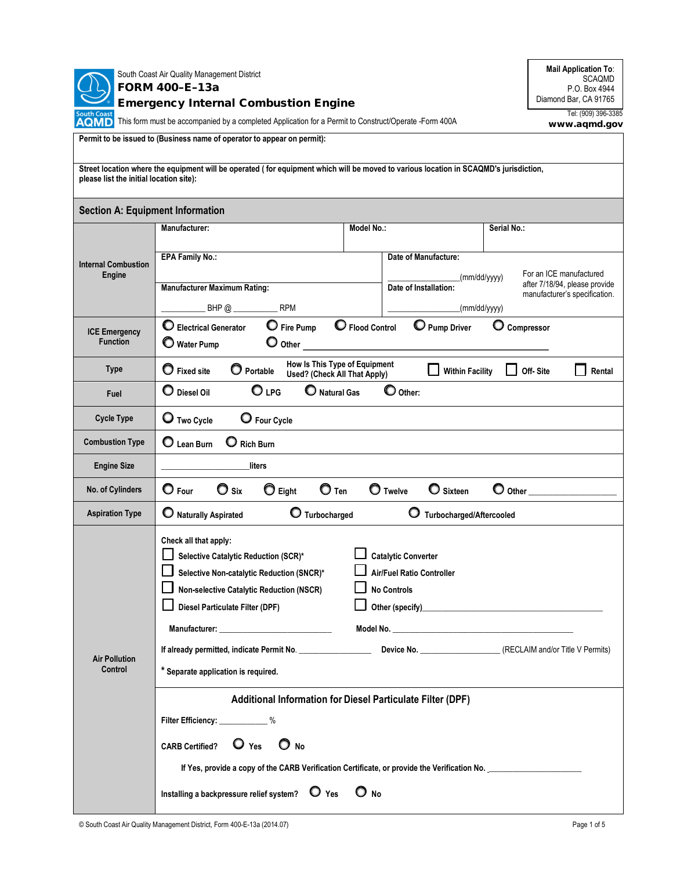

**Mail Application To**: SCAQMD P.O. Box 4944 Diamond Bar, CA 91765

**TOUGLICARE**<br>**AQMD** This form must be accompanied by a completed Application for a Permit to Construct/Operate -Form 400A

Tel: (909) 396-3385 www.aqmd.gov

| Permit to be issued to (Business name of operator to appear on permit):                                                                                                          |                                                                                                                                                                                                                                                                                                                                                                                                                             |                                                                             |                                                                                           |  |  |  |  |
|----------------------------------------------------------------------------------------------------------------------------------------------------------------------------------|-----------------------------------------------------------------------------------------------------------------------------------------------------------------------------------------------------------------------------------------------------------------------------------------------------------------------------------------------------------------------------------------------------------------------------|-----------------------------------------------------------------------------|-------------------------------------------------------------------------------------------|--|--|--|--|
| Street location where the equipment will be operated (for equipment which will be moved to various location in SCAQMD's jurisdiction,<br>please list the initial location site): |                                                                                                                                                                                                                                                                                                                                                                                                                             |                                                                             |                                                                                           |  |  |  |  |
| <b>Section A: Equipment Information</b>                                                                                                                                          |                                                                                                                                                                                                                                                                                                                                                                                                                             |                                                                             |                                                                                           |  |  |  |  |
|                                                                                                                                                                                  | <b>Manufacturer:</b>                                                                                                                                                                                                                                                                                                                                                                                                        | Model No.:                                                                  | Serial No.:                                                                               |  |  |  |  |
| <b>Internal Combustion</b><br><b>Engine</b>                                                                                                                                      | <b>EPA Family No.:</b><br><b>Manufacturer Maximum Rating:</b>                                                                                                                                                                                                                                                                                                                                                               | Date of Manufacture:<br>(mm/dd/yyyy)<br>Date of Installation:               | For an ICE manufactured<br>after 7/18/94, please provide<br>manufacturer's specification. |  |  |  |  |
|                                                                                                                                                                                  | BHP@<br><b>RPM</b>                                                                                                                                                                                                                                                                                                                                                                                                          |                                                                             | (mm/dd/yyyy)                                                                              |  |  |  |  |
| <b>ICE Emergency</b><br><b>Function</b>                                                                                                                                          | $\bf{O}$<br>$\mathbf \circ$<br>C Electrical Generator<br><b>Pump Driver</b><br>$\mathbf{\mathbb{C}}$ Fire Pump<br><b>Flood Control</b><br>Compressor<br>O<br>Water Pump<br>Other                                                                                                                                                                                                                                            |                                                                             |                                                                                           |  |  |  |  |
| <b>Type</b>                                                                                                                                                                      | How Is This Type of Equipment<br>$\bullet$ Fixed site<br>O Portable<br>Off-Site<br><b>Within Facility</b><br>Rental<br>Used? (Check All That Apply)                                                                                                                                                                                                                                                                         |                                                                             |                                                                                           |  |  |  |  |
| Fuel                                                                                                                                                                             | O <sub>LPG</sub><br>$\bullet$ Other:<br>$\mathbf \bigcirc$ Diesel Oil<br><b>Natural Gas</b>                                                                                                                                                                                                                                                                                                                                 |                                                                             |                                                                                           |  |  |  |  |
| <b>Cycle Type</b>                                                                                                                                                                | O Two Cycle<br>O Four Cycle                                                                                                                                                                                                                                                                                                                                                                                                 |                                                                             |                                                                                           |  |  |  |  |
| <b>Combustion Type</b>                                                                                                                                                           | O<br>$\mathbf O$ Lean Burn<br><b>Rich Burn</b>                                                                                                                                                                                                                                                                                                                                                                              |                                                                             |                                                                                           |  |  |  |  |
| <b>Engine Size</b>                                                                                                                                                               | liters                                                                                                                                                                                                                                                                                                                                                                                                                      |                                                                             |                                                                                           |  |  |  |  |
| No. of Cylinders                                                                                                                                                                 | $\bullet$ Four<br>$\bullet$ Six<br>$\bullet$ Eight<br>$\mathbf O$ Ten<br><b>O</b> Twelve<br>O Sixteen<br>Other                                                                                                                                                                                                                                                                                                              |                                                                             |                                                                                           |  |  |  |  |
| <b>Aspiration Type</b>                                                                                                                                                           | O Turbocharged<br>O Naturally Aspirated<br>Ő<br>Turbocharged/Aftercooled                                                                                                                                                                                                                                                                                                                                                    |                                                                             |                                                                                           |  |  |  |  |
| <b>Air Pollution</b><br>Control                                                                                                                                                  | Check all that apply:<br><b>Catalytic Converter</b><br>Selective Catalytic Reduction (SCR)*<br>Selective Non-catalytic Reduction (SNCR)*<br><b>Air/Fuel Ratio Controller</b><br>Non-selective Catalytic Reduction (NSCR)<br><b>No Controls</b><br>Diesel Particulate Filter (DPF)<br>Other (specify)<br>Manufacturer:<br>If already permitted, indicate Permit No. _________________<br>* Separate application is required. |                                                                             |                                                                                           |  |  |  |  |
|                                                                                                                                                                                  | Filter Efficiency: ____________%<br>$\bullet$ Yes<br>$\bigcirc$ No<br><b>CARB Certified?</b><br>If Yes, provide a copy of the CARB Verification Certificate, or provide the Verification No.<br>Installing a backpressure relief system? $\bullet$ Yes                                                                                                                                                                      | Additional Information for Diesel Particulate Filter (DPF)<br>$\bigcirc$ No |                                                                                           |  |  |  |  |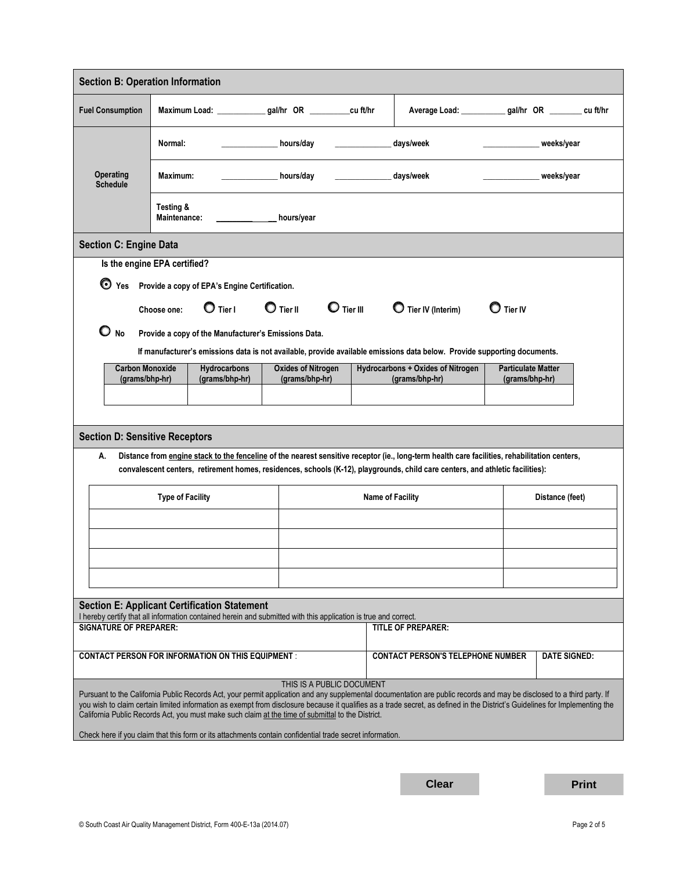|                                                                                                                                                                                              | <b>Section B: Operation Information</b>                                                                                        |                                                                               |                           |                                |                                                     |                                                                                                                                                                                                                                                                                                                                                        |                                             |                 |  |
|----------------------------------------------------------------------------------------------------------------------------------------------------------------------------------------------|--------------------------------------------------------------------------------------------------------------------------------|-------------------------------------------------------------------------------|---------------------------|--------------------------------|-----------------------------------------------------|--------------------------------------------------------------------------------------------------------------------------------------------------------------------------------------------------------------------------------------------------------------------------------------------------------------------------------------------------------|---------------------------------------------|-----------------|--|
| <b>Fuel Consumption</b>                                                                                                                                                                      |                                                                                                                                | Maximum Load: _____________gal/hr OR ___________cu ft/hr                      |                           |                                |                                                     | Average Load: ____________ gal/hr OR _________ cu ft/hr                                                                                                                                                                                                                                                                                                |                                             |                 |  |
| Normal:                                                                                                                                                                                      |                                                                                                                                |                                                                               | hours/day                 |                                |                                                     | days/week                                                                                                                                                                                                                                                                                                                                              | weeks/year                                  |                 |  |
| <b>Operating</b><br><b>Schedule</b>                                                                                                                                                          |                                                                                                                                | hours/day<br>Maximum:                                                         |                           |                                |                                                     | days/week<br>weeks/year                                                                                                                                                                                                                                                                                                                                |                                             |                 |  |
|                                                                                                                                                                                              | Testing &<br>Maintenance:<br>hours/year                                                                                        |                                                                               |                           |                                |                                                     |                                                                                                                                                                                                                                                                                                                                                        |                                             |                 |  |
| <b>Section C: Engine Data</b>                                                                                                                                                                |                                                                                                                                |                                                                               |                           |                                |                                                     |                                                                                                                                                                                                                                                                                                                                                        |                                             |                 |  |
| Is the engine EPA certified?                                                                                                                                                                 |                                                                                                                                |                                                                               |                           |                                |                                                     |                                                                                                                                                                                                                                                                                                                                                        |                                             |                 |  |
|                                                                                                                                                                                              |                                                                                                                                | ◯ Yes Provide a copy of EPA's Engine Certification.                           |                           |                                |                                                     |                                                                                                                                                                                                                                                                                                                                                        |                                             |                 |  |
|                                                                                                                                                                                              | Choose one:                                                                                                                    | $\bigcirc$ Tier I                                                             | $\bigcirc$ Tier II        | $\mathbf{\mathbb{C}}$ Tier III |                                                     | Tier IV (Interim)                                                                                                                                                                                                                                                                                                                                      | $\mathbf O$ Tier IV                         |                 |  |
| $O_{N0}$                                                                                                                                                                                     |                                                                                                                                | Provide a copy of the Manufacturer's Emissions Data.                          |                           |                                |                                                     |                                                                                                                                                                                                                                                                                                                                                        |                                             |                 |  |
|                                                                                                                                                                                              |                                                                                                                                |                                                                               |                           |                                |                                                     | If manufacturer's emissions data is not available, provide available emissions data below. Provide supporting documents.                                                                                                                                                                                                                               |                                             |                 |  |
| <b>Carbon Monoxide</b><br>(grams/bhp-hr)                                                                                                                                                     |                                                                                                                                | <b>Oxides of Nitrogen</b><br>Hydrocarbons<br>(grams/bhp-hr)<br>(grams/bhp-hr) |                           |                                | Hydrocarbons + Oxides of Nitrogen<br>(grams/bhp-hr) |                                                                                                                                                                                                                                                                                                                                                        | <b>Particulate Matter</b><br>(grams/bhp-hr) |                 |  |
|                                                                                                                                                                                              |                                                                                                                                |                                                                               |                           |                                |                                                     |                                                                                                                                                                                                                                                                                                                                                        |                                             |                 |  |
|                                                                                                                                                                                              |                                                                                                                                |                                                                               |                           |                                |                                                     |                                                                                                                                                                                                                                                                                                                                                        |                                             |                 |  |
|                                                                                                                                                                                              |                                                                                                                                |                                                                               |                           |                                |                                                     |                                                                                                                                                                                                                                                                                                                                                        |                                             |                 |  |
| <b>Section D: Sensitive Receptors</b><br>Distance from engine stack to the fenceline of the nearest sensitive receptor (ie., long-term health care facilities, rehabilitation centers,<br>А. |                                                                                                                                |                                                                               |                           |                                |                                                     |                                                                                                                                                                                                                                                                                                                                                        |                                             |                 |  |
|                                                                                                                                                                                              | convalescent centers, retirement homes, residences, schools (K-12), playgrounds, child care centers, and athletic facilities): |                                                                               |                           |                                |                                                     |                                                                                                                                                                                                                                                                                                                                                        |                                             |                 |  |
|                                                                                                                                                                                              |                                                                                                                                |                                                                               |                           |                                |                                                     |                                                                                                                                                                                                                                                                                                                                                        |                                             | Distance (feet) |  |
|                                                                                                                                                                                              | <b>Type of Facility</b>                                                                                                        |                                                                               |                           | Name of Facility               |                                                     |                                                                                                                                                                                                                                                                                                                                                        |                                             |                 |  |
|                                                                                                                                                                                              |                                                                                                                                |                                                                               |                           |                                |                                                     |                                                                                                                                                                                                                                                                                                                                                        |                                             |                 |  |
|                                                                                                                                                                                              |                                                                                                                                |                                                                               |                           |                                |                                                     |                                                                                                                                                                                                                                                                                                                                                        |                                             |                 |  |
|                                                                                                                                                                                              |                                                                                                                                |                                                                               |                           |                                |                                                     |                                                                                                                                                                                                                                                                                                                                                        |                                             |                 |  |
|                                                                                                                                                                                              |                                                                                                                                |                                                                               |                           |                                |                                                     |                                                                                                                                                                                                                                                                                                                                                        |                                             |                 |  |
|                                                                                                                                                                                              | <b>Section E: Applicant Certification Statement</b>                                                                            |                                                                               |                           |                                |                                                     |                                                                                                                                                                                                                                                                                                                                                        |                                             |                 |  |
| I hereby certify that all information contained herein and submitted with this application is true and correct.<br><b>SIGNATURE OF PREPARER:</b><br><b>TITLE OF PREPARER:</b>                |                                                                                                                                |                                                                               |                           |                                |                                                     |                                                                                                                                                                                                                                                                                                                                                        |                                             |                 |  |
|                                                                                                                                                                                              |                                                                                                                                |                                                                               |                           |                                |                                                     |                                                                                                                                                                                                                                                                                                                                                        |                                             |                 |  |
| <b>CONTACT PERSON FOR INFORMATION ON THIS EQUIPMENT:</b><br><b>CONTACT PERSON'S TELEPHONE NUMBER</b><br><b>DATE SIGNED:</b>                                                                  |                                                                                                                                |                                                                               |                           |                                |                                                     |                                                                                                                                                                                                                                                                                                                                                        |                                             |                 |  |
|                                                                                                                                                                                              |                                                                                                                                |                                                                               |                           |                                |                                                     |                                                                                                                                                                                                                                                                                                                                                        |                                             |                 |  |
|                                                                                                                                                                                              |                                                                                                                                |                                                                               | THIS IS A PUBLIC DOCUMENT |                                |                                                     |                                                                                                                                                                                                                                                                                                                                                        |                                             |                 |  |
| California Public Records Act, you must make such claim at the time of submittal to the District.                                                                                            |                                                                                                                                |                                                                               |                           |                                |                                                     | Pursuant to the California Public Records Act, your permit application and any supplemental documentation are public records and may be disclosed to a third party. If<br>you wish to claim certain limited information as exempt from disclosure because it qualifies as a trade secret, as defined in the District's Guidelines for Implementing the |                                             |                 |  |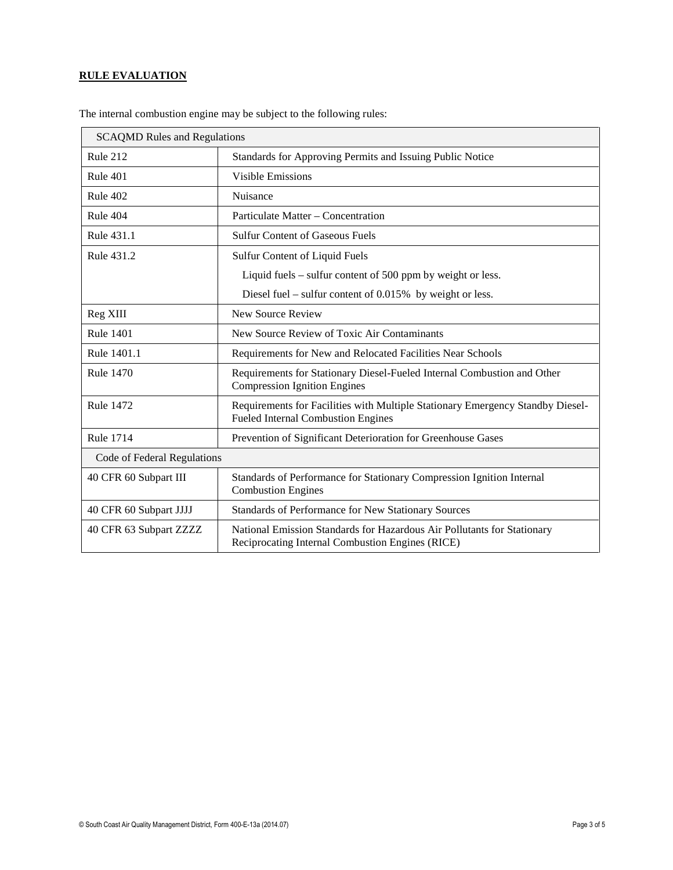## **RULE EVALUATION**

| <b>SCAQMD Rules and Regulations</b> |                                                                                                                             |  |
|-------------------------------------|-----------------------------------------------------------------------------------------------------------------------------|--|
| Rule 212                            | Standards for Approving Permits and Issuing Public Notice                                                                   |  |
| Rule 401                            | <b>Visible Emissions</b>                                                                                                    |  |
| Rule 402                            | Nuisance                                                                                                                    |  |
| Rule 404                            | Particulate Matter – Concentration                                                                                          |  |
| Rule 431.1                          | <b>Sulfur Content of Gaseous Fuels</b>                                                                                      |  |
| Rule 431.2                          | Sulfur Content of Liquid Fuels                                                                                              |  |
|                                     | Liquid fuels – sulfur content of 500 ppm by weight or less.                                                                 |  |
|                                     | Diesel fuel – sulfur content of $0.015%$ by weight or less.                                                                 |  |
| Reg XIII                            | New Source Review                                                                                                           |  |
| <b>Rule 1401</b>                    | New Source Review of Toxic Air Contaminants                                                                                 |  |
| Rule 1401.1                         | Requirements for New and Relocated Facilities Near Schools                                                                  |  |
| <b>Rule 1470</b>                    | Requirements for Stationary Diesel-Fueled Internal Combustion and Other<br><b>Compression Ignition Engines</b>              |  |
| <b>Rule 1472</b>                    | Requirements for Facilities with Multiple Stationary Emergency Standby Diesel-<br><b>Fueled Internal Combustion Engines</b> |  |
| <b>Rule 1714</b>                    | Prevention of Significant Deterioration for Greenhouse Gases                                                                |  |
| Code of Federal Regulations         |                                                                                                                             |  |
| 40 CFR 60 Subpart III               | Standards of Performance for Stationary Compression Ignition Internal<br><b>Combustion Engines</b>                          |  |
| 40 CFR 60 Subpart JJJJ              | Standards of Performance for New Stationary Sources                                                                         |  |
| 40 CFR 63 Subpart ZZZZ              | National Emission Standards for Hazardous Air Pollutants for Stationary<br>Reciprocating Internal Combustion Engines (RICE) |  |

The internal combustion engine may be subject to the following rules: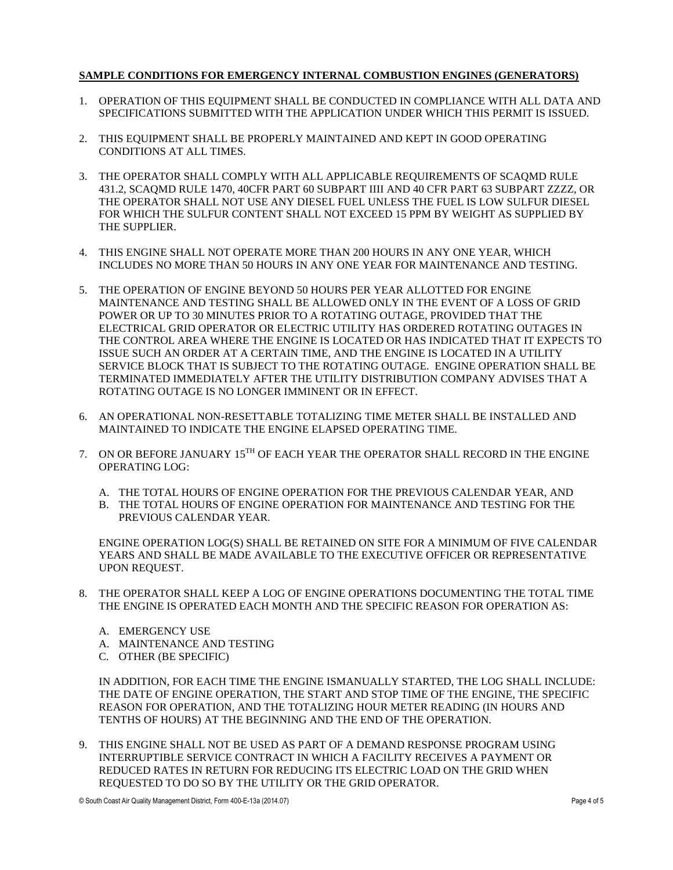## **SAMPLE CONDITIONS FOR EMERGENCY INTERNAL COMBUSTION ENGINES (GENERATORS)**

- 1. OPERATION OF THIS EQUIPMENT SHALL BE CONDUCTED IN COMPLIANCE WITH ALL DATA AND SPECIFICATIONS SUBMITTED WITH THE APPLICATION UNDER WHICH THIS PERMIT IS ISSUED.
- 2. THIS EQUIPMENT SHALL BE PROPERLY MAINTAINED AND KEPT IN GOOD OPERATING CONDITIONS AT ALL TIMES.
- 3. THE OPERATOR SHALL COMPLY WITH ALL APPLICABLE REQUIREMENTS OF SCAQMD RULE 431.2, SCAQMD RULE 1470, 40CFR PART 60 SUBPART IIII AND 40 CFR PART 63 SUBPART ZZZZ, OR THE OPERATOR SHALL NOT USE ANY DIESEL FUEL UNLESS THE FUEL IS LOW SULFUR DIESEL FOR WHICH THE SULFUR CONTENT SHALL NOT EXCEED 15 PPM BY WEIGHT AS SUPPLIED BY THE SUPPLIER.
- 4. THIS ENGINE SHALL NOT OPERATE MORE THAN 200 HOURS IN ANY ONE YEAR, WHICH INCLUDES NO MORE THAN 50 HOURS IN ANY ONE YEAR FOR MAINTENANCE AND TESTING.
- 5. THE OPERATION OF ENGINE BEYOND 50 HOURS PER YEAR ALLOTTED FOR ENGINE MAINTENANCE AND TESTING SHALL BE ALLOWED ONLY IN THE EVENT OF A LOSS OF GRID POWER OR UP TO 30 MINUTES PRIOR TO A ROTATING OUTAGE, PROVIDED THAT THE ELECTRICAL GRID OPERATOR OR ELECTRIC UTILITY HAS ORDERED ROTATING OUTAGES IN THE CONTROL AREA WHERE THE ENGINE IS LOCATED OR HAS INDICATED THAT IT EXPECTS TO ISSUE SUCH AN ORDER AT A CERTAIN TIME, AND THE ENGINE IS LOCATED IN A UTILITY SERVICE BLOCK THAT IS SUBJECT TO THE ROTATING OUTAGE. ENGINE OPERATION SHALL BE TERMINATED IMMEDIATELY AFTER THE UTILITY DISTRIBUTION COMPANY ADVISES THAT A ROTATING OUTAGE IS NO LONGER IMMINENT OR IN EFFECT.
- 6. AN OPERATIONAL NON-RESETTABLE TOTALIZING TIME METER SHALL BE INSTALLED AND MAINTAINED TO INDICATE THE ENGINE ELAPSED OPERATING TIME.
- 7. ON OR BEFORE JANUARY  $15^{TH}$  OF EACH YEAR THE OPERATOR SHALL RECORD IN THE ENGINE OPERATING LOG:
	- A. THE TOTAL HOURS OF ENGINE OPERATION FOR THE PREVIOUS CALENDAR YEAR, AND
	- B. THE TOTAL HOURS OF ENGINE OPERATION FOR MAINTENANCE AND TESTING FOR THE PREVIOUS CALENDAR YEAR.

ENGINE OPERATION LOG(S) SHALL BE RETAINED ON SITE FOR A MINIMUM OF FIVE CALENDAR YEARS AND SHALL BE MADE AVAILABLE TO THE EXECUTIVE OFFICER OR REPRESENTATIVE UPON REQUEST.

- 8. THE OPERATOR SHALL KEEP A LOG OF ENGINE OPERATIONS DOCUMENTING THE TOTAL TIME THE ENGINE IS OPERATED EACH MONTH AND THE SPECIFIC REASON FOR OPERATION AS:
	- A. EMERGENCY USE
	- A. MAINTENANCE AND TESTING
	- C. OTHER (BE SPECIFIC)

IN ADDITION, FOR EACH TIME THE ENGINE ISMANUALLY STARTED, THE LOG SHALL INCLUDE: THE DATE OF ENGINE OPERATION, THE START AND STOP TIME OF THE ENGINE, THE SPECIFIC REASON FOR OPERATION, AND THE TOTALIZING HOUR METER READING (IN HOURS AND TENTHS OF HOURS) AT THE BEGINNING AND THE END OF THE OPERATION.

9. THIS ENGINE SHALL NOT BE USED AS PART OF A DEMAND RESPONSE PROGRAM USING INTERRUPTIBLE SERVICE CONTRACT IN WHICH A FACILITY RECEIVES A PAYMENT OR REDUCED RATES IN RETURN FOR REDUCING ITS ELECTRIC LOAD ON THE GRID WHEN REQUESTED TO DO SO BY THE UTILITY OR THE GRID OPERATOR.